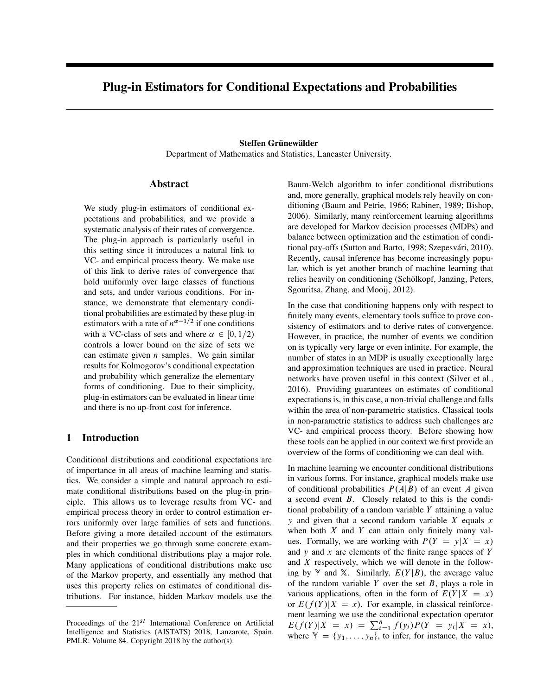# Plug-in Estimators for Conditional Expectations and Probabilities

## Steffen Grünewälder

Department of Mathematics and Statistics, Lancaster University.

# Abstract

We study plug-in estimators of conditional expectations and probabilities, and we provide a systematic analysis of their rates of convergence. The plug-in approach is particularly useful in this setting since it introduces a natural link to VC- and empirical process theory. We make use of this link to derive rates of convergence that hold uniformly over large classes of functions and sets, and under various conditions. For instance, we demonstrate that elementary conditional probabilities are estimated by these plug-in estimators with a rate of  $n^{\alpha-1/2}$  if one conditions with a VC-class of sets and where  $\alpha \in [0, 1/2)$ controls a lower bound on the size of sets we can estimate given  $n$  samples. We gain similar results for Kolmogorov's conditional expectation and probability which generalize the elementary forms of conditioning. Due to their simplicity, plug-in estimators can be evaluated in linear time and there is no up-front cost for inference.

# <span id="page-0-0"></span>1 Introduction

Conditional distributions and conditional expectations are of importance in all areas of machine learning and statistics. We consider a simple and natural approach to estimate conditional distributions based on the plug-in principle. This allows us to leverage results from VC- and empirical process theory in order to control estimation errors uniformly over large families of sets and functions. Before giving a more detailed account of the estimators and their properties we go through some concrete examples in which conditional distributions play a major role. Many applications of conditional distributions make use of the Markov property, and essentially any method that uses this property relies on estimates of conditional distributions. For instance, hidden Markov models use the

Baum-Welch algorithm to infer conditional distributions and, more generally, graphical models rely heavily on conditioning [\(Baum and Petrie, 1966;](#page-8-0) [Rabiner, 1989;](#page-8-1) [Bishop,](#page-8-2) [2006\)](#page-8-2). Similarly, many reinforcement learning algorithms are developed for Markov decision processes (MDPs) and balance between optimization and the estimation of condi-tional pay-offs [\(Sutton and Barto, 1998;](#page-8-3) Szepesvári, 2010). Recently, causal inference has become increasingly popular, which is yet another branch of machine learning that relies heavily on conditioning (Schölkopf, Janzing, Peters, [Sgouritsa, Zhang, and Mooij, 2012\)](#page-8-5).

In the case that conditioning happens only with respect to finitely many events, elementary tools suffice to prove consistency of estimators and to derive rates of convergence. However, in practice, the number of events we condition on is typically very large or even infinite. For example, the number of states in an MDP is usually exceptionally large and approximation techniques are used in practice. Neural networks have proven useful in this context [\(Silver et al.,](#page-8-6) [2016\)](#page-8-6). Providing guarantees on estimates of conditional expectations is, in this case, a non-trivial challenge and falls within the area of non-parametric statistics. Classical tools in non-parametric statistics to address such challenges are VC- and empirical process theory. Before showing how these tools can be applied in our context we first provide an overview of the forms of conditioning we can deal with.

In machine learning we encounter conditional distributions in various forms. For instance, graphical models make use of conditional probabilities  $P(A|B)$  of an event A given a second event B. Closely related to this is the conditional probability of a random variable Y attaining a value  $y$  and given that a second random variable  $X$  equals  $x$ when both  $X$  and  $Y$  can attain only finitely many values. Formally, we are working with  $P(Y = y|X = x)$ and  $y$  and  $x$  are elements of the finite range spaces of  $Y$ and X respectively, which we will denote in the following by  $\mathbb{Y}$  and X. Similarly,  $E(Y|B)$ , the average value of the random variable  $Y$  over the set  $B$ , plays a role in various applications, often in the form of  $E(Y|X = x)$ or  $E(f(Y)|X = x)$ . For example, in classical reinforcement learning we use the conditional expectation operator  $E(f(Y)|X = x) = \sum_{i=1}^{n} f(y_i)P(Y = y_i|X = x),$ where  $\mathcal{Y} = \{y_1, \ldots, y_n\}$ , to infer, for instance, the value

Proceedings of the  $21^{st}$  International Conference on Artificial Intelligence and Statistics (AISTATS) 2018, Lanzarote, Spain. PMLR: Volume 84. Copyright 2018 by the author(s).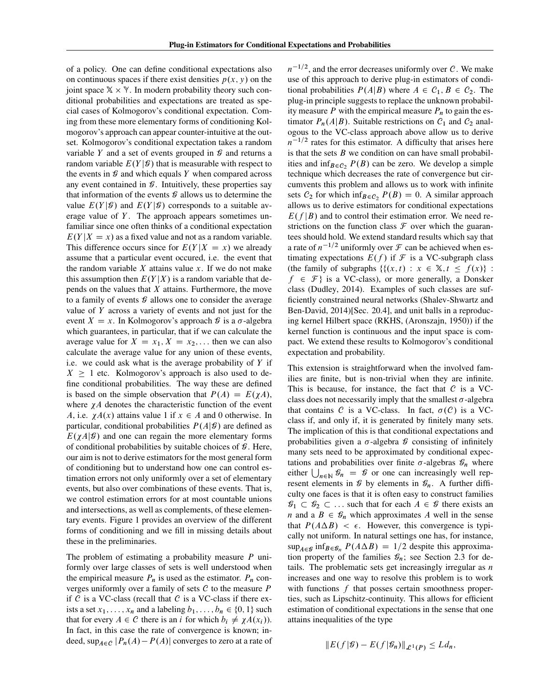of a policy. One can define conditional expectations also on continuous spaces if there exist densities  $p(x, y)$  on the joint space  $X \times Y$ . In modern probability theory such conditional probabilities and expectations are treated as special cases of Kolmogorov's conditional expectation. Coming from these more elementary forms of conditioning Kolmogorov's approach can appear counter-intuitive at the outset. Kolmogorov's conditional expectation takes a random variable Y and a set of events grouped in  $\mathcal G$  and returns a random variable  $E(Y|\mathcal{G})$  that is measurable with respect to the events in  $\mathcal G$  and which equals Y when compared across any event contained in  $\mathcal G$ . Intuitively, these properties say that information of the events  $\mathcal G$  allows us to determine the value  $E(Y|\mathcal{G})$  and  $E(Y|\mathcal{G})$  corresponds to a suitable average value of  $Y$ . The approach appears sometimes unfamiliar since one often thinks of a conditional expectation  $E(Y|X = x)$  as a fixed value and not as a random variable. This difference occurs since for  $E(Y|X = x)$  we already assume that a particular event occured, i.e. the event that the random variable  $X$  attains value  $x$ . If we do not make this assumption then  $E(Y|X)$  is a random variable that depends on the values that  $X$  attains. Furthermore, the move to a family of events  $\mathcal G$  allows one to consider the average value of Y across a variety of events and not just for the event  $X = x$ . In Kolmogorov's approach  $\mathcal G$  is a  $\sigma$ -algebra which guarantees, in particular, that if we can calculate the average value for  $X = x_1, X = x_2, \dots$  then we can also calculate the average value for any union of these events, i.e. we could ask what is the average probability of  $Y$  if  $X \geq 1$  etc. Kolmogorov's approach is also used to define conditional probabilities. The way these are defined is based on the simple observation that  $P(A) = E(\chi A)$ , where  $\chi A$  denotes the characteristic function of the event A, i.e.  $\chi A(x)$  attains value 1 if  $x \in A$  and 0 otherwise. In particular, conditional probabilities  $P(A|\mathcal{G})$  are defined as  $E(\chi A|\mathcal{G})$  and one can regain the more elementary forms of conditional probabilities by suitable choices of  $\mathcal G$ . Here, our aim is not to derive estimators for the most general form of conditioning but to understand how one can control estimation errors not only uniformly over a set of elementary events, but also over combinations of these events. That is, we control estimation errors for at most countable unions and intersections, as well as complements, of these elementary events. Figure [1](#page-0-0) provides an overview of the different forms of conditioning and we fill in missing details about these in the preliminaries.

The problem of estimating a probability measure  *uni*formly over large classes of sets is well understood when the empirical measure  $P_n$  is used as the estimator.  $P_n$  converges uniformly over a family of sets  $C$  to the measure  $P$ if  $C$  is a VC-class (recall that  $C$  is a VC-class if there exists a set  $x_1, \ldots, x_n$  and a labeling  $b_1, \ldots, b_n \in \{0, 1\}$  such that for every  $A \in \mathcal{C}$  there is an i for which  $b_i \neq \chi A(x_i)$ . In fact, in this case the rate of convergence is known; indeed,  $\sup_{A \in \mathcal{C}} |P_n(A) - P(A)|$  converges to zero at a rate of

 $n^{-1/2}$ , and the error decreases uniformly over C. We make use of this approach to derive plug-in estimators of conditional probabilities  $P(A|B)$  where  $A \in C_1, B \in C_2$ . The plug-in principle suggests to replace the unknown probability measure  $P$  with the empirical measure  $P_n$  to gain the estimator  $P_n(A|B)$ . Suitable restrictions on  $C_1$  and  $C_2$  analogous to the VC-class approach above allow us to derive  $n^{-1/2}$  rates for this estimator. A difficulty that arises here is that the sets  $B$  we condition on can have small probabilities and inf $B_1 \in C_2$ ,  $P(B)$  can be zero. We develop a simple technique which decreases the rate of convergence but circumvents this problem and allows us to work with infinite sets  $C_2$  for which inf<sub>B $\epsilon C_2$ </sub>  $P(B) = 0$ . A similar approach allows us to derive estimators for conditional expectations  $E(f|B)$  and to control their estimation error. We need restrictions on the function class  $\mathcal F$  over which the guarantees should hold. We extend standard results which say that a rate of  $n^{-1/2}$  uniformly over  $\mathcal F$  can be achieved when estimating expectations  $E(f)$  if  $\mathcal F$  is a VC-subgraph class (the family of subgraphs  $\{(x, t) : x \in \mathbb{X}, t \leq f(x)\}$ :  $f \in \mathcal{F}$  is a VC-class), or more generally, a Donsker class [\(Dudley, 2014\)](#page-8-7). Examples of such classes are sufficiently constrained neural networks [\(Shalev-Shwartz and](#page-8-8) [Ben-David, 2014\)](#page-8-8)[Sec. 20.4], and unit balls in a reproducing kernel Hilbert space (RKHS, [\(Aronszajn, 1950\)](#page-8-9)) if the kernel function is continuous and the input space is compact. We extend these results to Kolmogorov's conditional expectation and probability.

This extension is straightforward when the involved families are finite, but is non-trivial when they are infinite. This is because, for instance, the fact that  $C$  is a VCclass does not necessarily imply that the smallest  $\sigma$ -algebra that contains C is a VC-class. In fact,  $\sigma(C)$  is a VCclass if, and only if, it is generated by finitely many sets. The implication of this is that conditional expectations and probabilities given a  $\sigma$ -algebra  $\mathcal G$  consisting of infinitely many sets need to be approximated by conditional expectations and probabilities over finite  $\sigma$ -algebras  $\mathcal{G}_n$  where either  $\bigcup_{n\in\mathbb{N}}\mathcal{G}_n = \mathcal{G}$  or one can increasingly well represent elements in  $\mathcal G$  by elements in  $\mathcal G_n$ . A further difficulty one faces is that it is often easy to construct families  $\mathscr{G}_1 \subset \mathscr{G}_2 \subset \ldots$  such that for each  $A \in \mathscr{G}$  there exists an *n* and a  $B \in \mathcal{G}_n$  which approximates A well in the sense that  $P(A \Delta B) < \epsilon$ . However, this convergence is typically not uniform. In natural settings one has, for instance,  $\sup_{A \in \mathcal{G}} \inf_{B \in \mathcal{G}_n} P(A \Delta B) = 1/2$  despite this approximation property of the families  $\mathcal{G}_n$ ; see Section [2.3](#page-4-0) for details. The problematic sets get increasingly irregular as  $n$ increases and one way to resolve this problem is to work with functions  $f$  that posses certain smoothness properties, such as Lipschitz-continuity. This allows for efficient estimation of conditional expectations in the sense that one attains inequalities of the type

$$
||E(f|\mathcal{G})-E(f|\mathcal{G}_n)||_{\mathcal{L}^1(P)}\leq Ld_n,
$$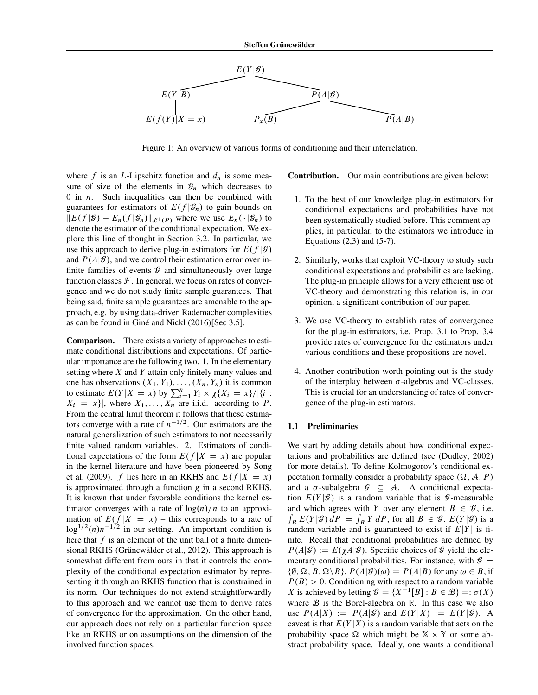

Figure 1: An overview of various forms of conditioning and their interrelation.

where f is an L-Lipschitz function and  $d_n$  is some measure of size of the elements in  $\mathcal{G}_n$  which decreases to 0 in  $n$ . Such inequalities can then be combined with guarantees for estimators of  $E(f | \mathcal{G}_n)$  to gain bounds on  $||E(f|\mathcal{G}) - E_n(f|\mathcal{G}_n)||_{\mathcal{L}^1(P)}$  where we use  $E_n(\cdot|\mathcal{G}_n)$  to denote the estimator of the conditional expectation. We explore this line of thought in Section [3.2.](#page-6-0) In particular, we use this approach to derive plug-in estimators for  $E(f|\mathcal{G})$ and  $P(A|\mathcal{G})$ , and we control their estimation error over infinite families of events  $\mathcal G$  and simultaneously over large function classes  $\mathcal F$ . In general, we focus on rates of convergence and we do not study finite sample guarantees. That being said, finite sample guarantees are amenable to the approach, e.g. by using data-driven Rademacher complexities as can be found in Giné and Nickl [\(2016\)](#page-8-10)[Sec 3.5].

Comparison. There exists a variety of approaches to estimate conditional distributions and expectations. Of particular importance are the following two. 1. In the elementary setting where  $X$  and  $Y$  attain only finitely many values and one has observations  $(X_1, Y_1), \ldots, (X_n, Y_n)$  it is common to estimate  $E(Y|X = x)$  by  $\sum_{i=1}^{n} Y_i \times \chi\{X_i = x\}/\left|\{i : \right.\}$  $X_i = x$ , where  $X_1, \ldots, X_n$  are i.i.d. according to P. From the central limit theorem it follows that these estimators converge with a rate of  $n^{-1/2}$ . Our estimators are the natural generalization of such estimators to not necessarily finite valued random variables. 2. Estimators of conditional expectations of the form  $E(f|X = x)$  are popular in the kernel literature and have been pioneered by [Song](#page-8-11) [et al.](#page-8-11) [\(2009\)](#page-8-11). f lies here in an RKHS and  $E(f|X = x)$ is approximated through a function  $g$  in a second RKHS. It is known that under favorable conditions the kernel estimator converges with a rate of  $log(n)/n$  to an approximation of  $E(f|X = x)$  – this corresponds to a rate of  $\log^{1/2}(n)n^{-1/2}$  in our setting. An important condition is here that  $f$  is an element of the unit ball of a finite dimensional RKHS (Grünewälder et al., 2012). This approach is somewhat different from ours in that it controls the complexity of the conditional expectation estimator by representing it through an RKHS function that is constrained in its norm. Our techniques do not extend straightforwardly to this approach and we cannot use them to derive rates of convergence for the approximation. On the other hand, our approach does not rely on a particular function space like an RKHS or on assumptions on the dimension of the involved function spaces.

Contribution. Our main contributions are given below:

- 1. To the best of our knowledge plug-in estimators for conditional expectations and probabilities have not been systematically studied before. This comment applies, in particular, to the estimators we introduce in Equations  $(2,3)$  and  $(5-7)$ .
- 2. Similarly, works that exploit VC-theory to study such conditional expectations and probabilities are lacking. The plug-in principle allows for a very efficient use of VC-theory and demonstrating this relation is, in our opinion, a significant contribution of our paper.
- 3. We use VC-theory to establish rates of convergence for the plug-in estimators, i.e. Prop. 3.1 to Prop. 3.4 provide rates of convergence for the estimators under various conditions and these propositions are novel.
- 4. Another contribution worth pointing out is the study of the interplay between  $\sigma$ -algebras and VC-classes. This is crucial for an understanding of rates of convergence of the plug-in estimators.

### 1.1 Preliminaries

We start by adding details about how conditional expectations and probabilities are defined (see [\(Dudley, 2002\)](#page-8-13) for more details). To define Kolmogorov's conditional expectation formally consider a probability space  $(\Omega, \mathcal{A}, P)$ and a  $\sigma$ -subalgebra  $\mathcal{G} \subseteq \mathcal{A}$ . A conditional expectation  $E(Y|\mathcal{G})$  is a random variable that is  $\mathcal{G}$ -measurable and which agrees with Y over any element  $B \in \mathcal{G}$ , i.e.  $\int_B E(Y|\mathcal{G}) dP = \int_B Y dP$ , for all  $B \in \mathcal{G}$ .  $E(Y|\mathcal{G})$  is a random variable and is guaranteed to exist if  $E|Y|$  is finite. Recall that conditional probabilities are defined by  $P(A|\mathcal{G}) := E(\chi A|\mathcal{G})$ . Specific choices of  $\mathcal G$  yield the elementary conditional probabilities. For instance, with  $\mathcal{G} =$  $\{\emptyset, \Omega, B, \Omega \setminus B\}, P(A|\mathcal{G})(\omega) = P(A|B)$  for any  $\omega \in B$ , if  $P(B) > 0$ . Conditioning with respect to a random variable X is achieved by letting  $\mathcal{G} = \{X^{-1}[B] : B \in \mathcal{B}\} =: \sigma(X)$ where  $B$  is the Borel-algebra on  $R$ . In this case we also use  $P(A|X) := P(A|\mathcal{G})$  and  $E(Y|X) := E(Y|\mathcal{G})$ . A caveat is that  $E(Y|X)$  is a random variable that acts on the probability space  $\Omega$  which might be  $X \times Y$  or some abstract probability space. Ideally, one wants a conditional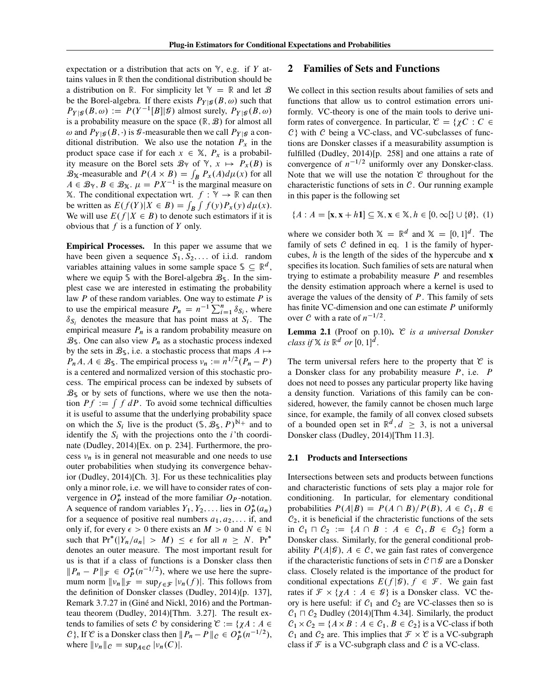expectation or a distribution that acts on  $\mathbb{Y}$ , e.g. if Y attains values in R then the conditional distribution should be a distribution on R. For simplicity let  $\mathcal{Y} = \mathbb{R}$  and let  $\mathcal{B}$ be the Borel-algebra. If there exists  $P_{Y|Y}(B,\omega)$  such that  $P_{Y|\mathcal{G}}(B,\omega) := P(Y^{-1}[B]|\mathcal{G})$  almost surely,  $P_{Y|\mathcal{G}}(B,\omega)$ is a probability measure on the space  $(R, B)$  for almost all  $\omega$  and  $P_{Y|\mathcal{G}}(B,\cdot)$  is  $\mathcal{G}$ -measurable then we call  $P_{Y|\mathcal{G}}$  a conditional distribution. We also use the notation  $P_x$  in the product space case if for each  $x \in \mathbb{X}$ ,  $P_x$  is a probability measure on the Borel sets  $\mathcal{B}_{\gamma}$  of  $\gamma$ ,  $x \mapsto P_x(B)$  is  $\mathcal{B}_{\mathbb{X}}$ -measurable and  $P(A \times B) = \int_B P_x(A) d\mu(x)$  for all  $A \in \mathcal{B}_{\mathcal{Y}}, B \in \mathcal{B}_{\mathcal{X}}$ .  $\mu = PX^{-1}$  is the marginal measure on X. The conditional expectation wrt.  $f : \mathbb{Y} \to \mathbb{R}$  can then be written as  $E(f(Y)|X \in B) = \int_B \int f(y) P_x(y) d\mu(x)$ . We will use  $E(f|X \in B)$  to denote such estimators if it is obvious that  $f$  is a function of  $Y$  only.

Empirical Processes. In this paper we assume that we have been given a sequence  $S_1, S_2, \ldots$  of i.i.d. random variables attaining values in some sample space  $\mathcal{S} \subseteq \mathbb{R}^d$ , where we equip S with the Borel-algebra  $\mathcal{B}_{\mathcal{S}}$ . In the simplest case we are interested in estimating the probability law  $P$  of these random variables. One way to estimate  $P$  is to use the empirical measure  $P_n = n^{-1} \sum_{i=1}^n \delta_{S_i}$ , where  $\delta_{S_i}$  denotes the measure that has point mass at  $S_i$ . The empirical measure  $P_n$  is a random probability measure on  $\mathcal{B}_s$ . One can also view  $P_n$  as a stochastic process indexed by the sets in  $\mathcal{B}_s$ , i.e. a stochastic process that maps  $A \mapsto$  $P_n A, A \in \mathcal{B}_{\mathbb{S}}$ . The empirical process  $v_n := n^{1/2} (P_n - P)$ is a centered and normalized version of this stochastic process. The empirical process can be indexed by subsets of  $\mathcal{B}_s$  or by sets of functions, where we use then the notation  $Pf := \int f dP$ . To avoid some technical difficulties it is useful to assume that the underlying probability space on which the  $S_i$  live is the product  $(\mathcal{S}, \mathcal{B}_{\mathcal{S}}, P)^{\mathbb{N}+}$  and to identify the  $S_i$  with the projections onto the *i*'th coordinate [\(Dudley, 2014\)](#page-8-7)[Ex. on p. 234]. Furthermore, the process  $v_n$  is in general not measurable and one needs to use outer probabilities when studying its convergence behavior [\(Dudley, 2014\)](#page-8-7)[Ch. 3]. For us these technicalities play only a minor role, i.e. we will have to consider rates of convergence in  $O_P^*$  instead of the more familiar  $O_P$ -notation. A sequence of random variables  $Y_1, Y_2, \ldots$  lies in  $O_P^*(a_n)$ for a sequence of positive real numbers  $a_1, a_2, \ldots$  if, and only if, for every  $\epsilon > 0$  there exists an  $M > 0$  and  $N \in \mathbb{N}$ such that  $Pr^{*}(|Y_n/a_n| > M) \leq \epsilon$  for all  $n \geq N$ .  $Pr^{*}$ denotes an outer measure. The most important result for us is that if a class of functions is a Donsker class then  $||P_n - P||_{\mathcal{F}} \in O_P^*(n^{-1/2})$ , where we use here the supremum norm  $||v_n||_{\mathcal{F}} = \sup_{f \in \mathcal{F}} |v_n(f)|$ . This follows from the definition of Donsker classes [\(Dudley, 2014\)](#page-8-7)[p. 137], Remark 3.7.27 in (Giné and Nickl, 2016) and the Portmanteau theorem [\(Dudley, 2014\)](#page-8-7)[Thm. 3.27]. The result extends to families of sets C by considering  $\mathcal{C} := \{ \chi A : A \in$ C, If C is a Donsker class then  $||P_n - P||_c \in O_P^*(n^{-1/2}),$ where  $\|v_n\|_C = \sup_{A \in C} |v_n(C)|$ .

## 2 Families of Sets and Functions

We collect in this section results about families of sets and functions that allow us to control estimation errors uniformly. VC-theory is one of the main tools to derive uniform rates of convergence. In particular,  $\mathcal{C} = \{ \gamma C : C \in$  $C$ } with  $C$  being a VC-class, and VC-subclasses of functions are Donsker classes if a measurability assumption is fulfilled [\(Dudley, 2014\)](#page-8-7)[p. 258] and one attains a rate of convergence of  $n^{-1/2}$  uniformly over any Donsker-class. Note that we will use the notation  $\mathcal C$  throughout for the characteristic functions of sets in  $C$ . Our running example in this paper is the following set

<span id="page-3-0"></span>
$$
\{A : A = [\mathbf{x}, \mathbf{x} + h\mathbf{1}] \subseteq \mathbb{X}, \mathbf{x} \in \mathbb{X}, h \in [0, \infty] \} \cup \{\emptyset\}, \tag{1}
$$

where we consider both  $X = \mathbb{R}^d$  and  $X = [0, 1]^d$ . The family of sets  $C$  defined in eq. [1](#page-3-0) is the family of hypercubes,  $h$  is the length of the sides of the hypercube and  $x$ specifies its location. Such families of sets are natural when trying to estimate a probability measure  $P$  and resembles the density estimation approach where a kernel is used to average the values of the density of  $P$ . This family of sets has finite VC-dimension and one can estimate P uniformly over C with a rate of  $n^{-1/2}$ .

Lemma 2.1 (Proof on p.10). C *is a universal Donsker class if*  $X$  *is*  $\mathbb{R}^d$  *or*  $[0, 1]^d$ *.* 

The term universal refers here to the property that  $\mathfrak C$  is a Donsker class for any probability measure P, i.e. P does not need to posses any particular property like having a density function. Variations of this family can be considered, however, the family cannot be chosen much large since, for example, the family of all convex closed subsets of a bounded open set in  $\mathbb{R}^d$ ,  $d \geq 3$ , is not a universal Donsker class [\(Dudley, 2014\)](#page-8-7)[Thm 11.3].

## 2.1 Products and Intersections

Intersections between sets and products between functions and characteristic functions of sets play a major role for conditioning. In particular, for elementary conditional probabilities  $P(A|B) = P(A \cap B)/P(B), A \in C_1, B \in$  $C_2$ , it is beneficial if the chracteristic functions of the sets in  $C_1 \sqcap C_2 := \{A \cap B : A \in C_1, B \in C_2\}$  form a Donsker class. Similarly, for the general conditional probability  $P(A|\mathcal{G})$ ,  $A \in \mathcal{C}$ , we gain fast rates of convergence if the characteristic functions of sets in  $C \sqcap \mathcal{G}$  are a Donsker class. Closely related is the importance of the product for conditional expectations  $E(f|\mathcal{G})$ ,  $f \in \mathcal{F}$ . We gain fast rates if  $\mathcal{F} \times {\chi A : A \in \mathcal{G}}$  is a Donsker class. VC theory is here useful: if  $C_1$  and  $C_2$  are VC-classes then so is  $C_1 \sqcap C_2$  [Dudley](#page-8-7) [\(2014\)](#page-8-7)[Thm 4.34]. Similarly, the product  $C_1 \times C_2 = \{A \times B : A \in C_1, B \in C_2\}$  is a VC-class if both  $C_1$  and  $C_2$  are. This implies that  $\mathcal{F} \times \mathcal{C}$  is a VC-subgraph class if  $\mathcal F$  is a VC-subgraph class and  $\mathcal C$  is a VC-class.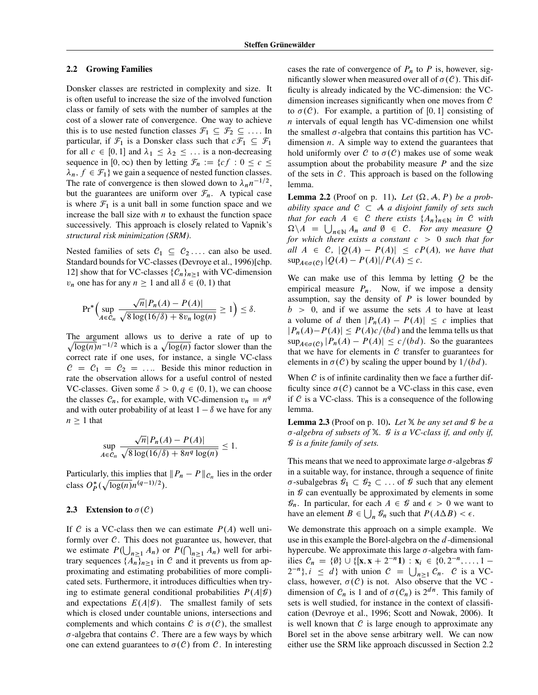#### <span id="page-4-1"></span>2.2 Growing Families

Donsker classes are restricted in complexity and size. It is often useful to increase the size of the involved function class or family of sets with the number of samples at the cost of a slower rate of convergence. One way to achieve this is to use nested function classes  $\mathcal{F}_1 \subseteq \mathcal{F}_2 \subseteq \ldots$  In particular, if  $\mathcal{F}_1$  is a Donsker class such that  $c\mathcal{F}_1 \subseteq \mathcal{F}_1$ for all  $c \in [0, 1]$  and  $\lambda_1 \leq \lambda_2 \leq \ldots$  is a non-decreasing sequence in [0,  $\infty$ ) then by letting  $\mathcal{F}_n := \{cf : 0 \leq c \leq \mathcal{F} \}$  $\lambda_n, f \in \mathcal{F}_1$  we gain a sequence of nested function classes. The rate of convergence is then slowed down to  $\lambda_n n^{-1/2}$ , but the guarantees are uniform over  $\mathcal{F}_n$ . A typical case is where  $\mathcal{F}_1$  is a unit ball in some function space and we increase the ball size with  $n$  to exhaust the function space successively. This approach is closely related to Vapnik's *structural risk minimization (SRM)*.

Nested families of sets  $C_1 \subseteq C_2 \dots$  can also be used. Standard bounds for VC-classes [\(Devroye et al., 1996\)](#page-8-14)[chp. 12] show that for VC-classes  $\{C_n\}_{n\geq1}$  with VC-dimension  $v_n$  one has for any  $n \geq 1$  and all  $\delta \in (0, 1)$  that

$$
Pr^*\Big(\sup_{A\in\mathcal{C}_n}\frac{\sqrt{n}|P_n(A)-P(A)|}{\sqrt{8\log(16/\delta)+8v_n\log(n)}}\geq 1\Big)\leq \delta.
$$

The argument allows us to derive a rate of up to  $\sqrt{\log(n)}n^{-1/2}$  which is a  $\sqrt{\log(n)}$  factor slower than the correct rate if one uses, for instance, a single VC-class  $C = C_1 = C_2 = \dots$  Beside this minor reduction in rate the observation allows for a useful control of nested VC-classes. Given some  $\delta > 0, q \in (0, 1)$ , we can choose the classes  $C_n$ , for example, with VC-dimension  $v_n = n^q$ and with outer probability of at least  $1 - \delta$  we have for any  $n \geq 1$  that

$$
\sup_{A \in \mathcal{C}_n} \frac{\sqrt{n}|P_n(A) - P(A)|}{\sqrt{8\log(16/\delta) + 8n^q \log(n)}} \le 1.
$$

Particularly, this implies that  $||P_n - P||_{\mathcal{C}_n}$  lies in the order class  $O_P^*(\sqrt{\log(n)}n^{(q-1)/2})$ .

## <span id="page-4-0"></span>2.3 Extension to  $\sigma(C)$

If C is a VC-class then we can estimate  $P(A)$  well uniformly over  $C$ . This does not guarantee us, however, that we estimate  $P(\bigcup_{n\geq 1} A_n)$  or  $P(\bigcap_{n\geq 1} A_n)$  well for arbitrary sequences  $\{A_n\}_{n>1}$  in C and it prevents us from approximating and estimating probabilities of more complicated sets. Furthermore, it introduces difficulties when trying to estimate general conditional probabilities  $P(A|\mathcal{G})$ and expectations  $E(A|\mathcal{G})$ . The smallest family of sets which is closed under countable unions, intersections and complements and which contains C is  $\sigma(C)$ , the smallest  $\sigma$ -algebra that contains C. There are a few ways by which one can extend guarantees to  $\sigma(C)$  from C. In interesting

cases the rate of convergence of  $P_n$  to P is, however, significantly slower when measured over all of  $\sigma(C)$ . This difficulty is already indicated by the VC-dimension: the VCdimension increases significantly when one moves from  $C$ to  $\sigma(C)$ . For example, a partition of [0, 1] consisting of  $n$  intervals of equal length has VC-dimension one whilst the smallest  $\sigma$ -algebra that contains this partition has VCdimension  $n$ . A simple way to extend the guarantees that hold uniformly over C to  $\sigma(C)$  makes use of some weak assumption about the probability measure  $P$  and the size of the sets in  $C$ . This approach is based on the following lemma.

<span id="page-4-2"></span>**Lemma 2.2** (Proof on p. 11). Let  $(\Omega, \mathcal{A}, P)$  be a prob*ability space and*  $C \subset A$  *a disjoint family of sets such that for each*  $A \in C$  *there exists*  $\{A_n\}_{n\in\mathbb{N}}$  *in*  $C$  *with*  $\Omega \setminus A = \bigcup_{n \in \mathbb{N}} A_n$  and  $\emptyset \in C$ . For any measure Q *for which there exists a constant* c > 0 *such that for all*  $A \in C$ ,  $|Q(A) - P(A)| \leq cP(A)$ *, we have that*  $\sup_{A \in \sigma(C)} |Q(A) - P(A)|/P(A) \leq c.$ 

We can make use of this lemma by letting  $Q$  be the empirical measure  $P_n$ . Now, if we impose a density assumption, say the density of  $P$  is lower bounded by  $b > 0$ , and if we assume the sets A to have at least a volume of d then  $|P_n(A) - P(A)| \leq c$  implies that  $|P_n(A)-P(A)| \leq P(A)c/(bd)$  and the lemma tells us that  $\sup_{A \in \sigma(C)} |P_n(A) - P(A)| \leq c/(bd)$ . So the guarantees that we have for elements in  $C$  transfer to guarantees for elements in  $\sigma(C)$  by scaling the upper bound by  $1/(bd)$ .

When  $C$  is of infinite cardinality then we face a further difficulty since  $\sigma(C)$  cannot be a VC-class in this case, even if  $C$  is a VC-class. This is a consequence of the following lemma.

**Lemma 2.3** (Proof on p. 10). Let  $X$  *be any set and*  $\mathcal{G}$  *be a -algebra of subsets of* X*.* G *is a VC-class if, and only if,* G *is a finite family of sets.*

This means that we need to approximate large  $\sigma$ -algebras  $\mathcal G$ in a suitable way, for instance, through a sequence of finite  $\sigma$ -subalgebras  $\mathcal{G}_1 \subset \mathcal{G}_2 \subset \ldots$  of  $\mathcal{G}$  such that any element in  $\mathcal G$  can eventually be approximated by elements in some  $\mathcal{G}_n$ . In particular, for each  $A \in \mathcal{G}$  and  $\epsilon > 0$  we want to have an element  $B \in \bigcup_n \mathcal{G}_n$  such that  $P(A \Delta B) < \epsilon$ .

We demonstrate this approach on a simple example. We use in this example the Borel-algebra on the  $d$ -dimensional hypercube. We approximate this large  $\sigma$ -algebra with families  $C_n = \{0\} \cup \{[\mathbf{x}, \mathbf{x} + 2^{-n}1) : \mathbf{x}_i \in \{0, 2^{-n}, \dots, 1 - \}$  $(2^{-n}), i \leq d$  with union  $C = \bigcup_{n \geq 1} C_n$ . C is a VCclass, however,  $\sigma(C)$  is not. Also observe that the VC dimension of  $C_n$  is 1 and of  $\sigma(C_n)$  is  $2^{dn}$ . This family of sets is well studied, for instance in the context of classification [\(Devroye et al., 1996;](#page-8-14) [Scott and Nowak, 2006\)](#page-8-15). It is well known that  $\mathcal C$  is large enough to approximate any Borel set in the above sense arbitrary well. We can now either use the SRM like approach discussed in Section [2.2](#page-4-1)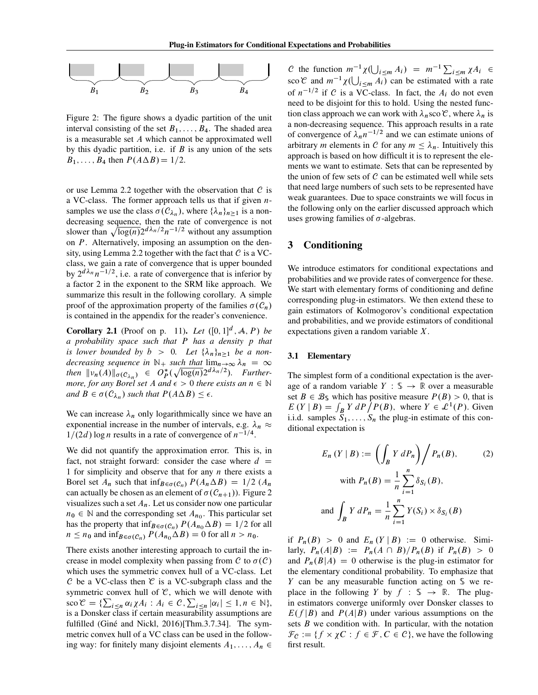

<span id="page-5-0"></span>Figure 2: The figure shows a dyadic partition of the unit interval consisting of the set  $B_1, \ldots, B_4$ . The shaded area is a measurable set A which cannot be approximated well by this dyadic partition, i.e. if  $B$  is any union of the sets  $B_1, \ldots, B_4$  then  $P(A \Delta B) = 1/2$ .

or use Lemma [2.2](#page-4-2) together with the observation that  $\mathcal C$  is a VC-class. The former approach tells us that if given  $n$ samples we use the class  $\sigma(C_{\lambda_n})$ , where  $\{\lambda_n\}_{n\geq 1}$  is a nondecreasing sequence, then the rate of convergence is not slower than  $\sqrt{\log(n)} 2^{d\lambda_n/2} n^{-1/2}$  without any assumption on P. Alternatively, imposing an assumption on the den-sity, using Lemma [2.2](#page-4-2) together with the fact that  $\mathcal C$  is a VCclass, we gain a rate of convergence that is upper bounded by  $2^{d\lambda_n}n^{-1/2}$ , i.e. a rate of convergence that is inferior by a factor 2 in the exponent to the SRM like approach. We summarize this result in the following corollary. A simple proof of the approximation property of the families  $\sigma(C_n)$ is contained in the appendix for the reader's convenience.

<span id="page-5-1"></span>**Corollary 2.1** (Proof on p. 11). *Let*  $([0, 1]^d, A, P)$  *be a probability space such that* P *has a density* p *that is lower bounded by*  $b > 0$ . Let  $\{\lambda_n\}_{n \geq 1}$  be a non*decreasing sequence in*  $\mathbb{N}_+$  *such that*  $\lim_{n\to\infty}\lambda_n = \infty$ then  $\|v_n(A)\|_{\sigma(\mathcal{C}_{\lambda_n})} \in O_P^*(\sqrt{\log(n)}2^{d\lambda_n/2})$ . Further*more, for any Borel set A and*  $\epsilon > 0$  *there exists an*  $n \in \mathbb{N}$ and  $B \in \sigma(C_{\lambda_n})$  such that  $P(A \Delta B) \leq \epsilon$ .

We can increase  $\lambda_n$  only logarithmically since we have an exponential increase in the number of intervals, e.g.  $\lambda_n \approx$  $1/(2d) \log n$  results in a rate of convergence of  $n^{-1/4}$ .

We did not quantify the approximation error. This is, in fact, not straight forward: consider the case where  $d =$ 1 for simplicity and observe that for any  $n$  there exists a Borel set  $A_n$  such that  $\inf_{B \in \sigma(C_n)} P(A_n \Delta B) = 1/2$   $(A_n$ can actually be chosen as an element of  $\sigma(C_{n+1})$ ). Figure [2](#page-5-0) visualizes such a set  $A_n$ . Let us consider now one particular  $n_0 \in \mathbb{N}$  and the corresponding set  $A_{n_0}$ . This particular set has the property that  $\inf_{B \in \sigma(C_n)} P(A_{n_0} \Delta B) = 1/2$  for all  $n \leq n_0$  and  $\inf_{B \in \sigma(C_n)} P(A_{n_0} \Delta B) = 0$  for all  $n > n_0$ .

There exists another interesting approach to curtail the increase in model complexity when passing from C to  $\sigma(C)$ which uses the symmetric convex hull of a VC-class. Let C be a VC-class then  $\mathfrak C$  is a VC-subgraph class and the symmetric convex hull of  $\mathcal{C}$ , which we will denote with  $\sec \mathcal{C} = \{ \sum_{i \leq n} \alpha_i \chi A_i : A_i \in \mathcal{C}, \sum_{i \leq n} |\alpha_i| \leq 1, n \in \mathbb{N} \},\$ is a Donsker class if certain measurability assumptions are fulfilled (Giné and Nickl, 2016)[Thm.3.7.34]. The symmetric convex hull of a VC class can be used in the following way: for finitely many disjoint elements  $A_1, \ldots, A_n \in$ 

C the function  $m^{-1}\chi(\bigcup_{i\leq m}A_i) = m^{-1}\sum_{i\leq m}\chi A_i$ sco  $\mathcal C$  and  $m^{-1}\chi(\bigcup_{i\leq m}A_i)$  can be estimated with a rate of  $n^{-1/2}$  if C is a VC-class. In fact, the  $A_i$  do not even need to be disjoint for this to hold. Using the nested function class approach we can work with  $\lambda_n$  sco  $\mathcal{C}$ , where  $\lambda_n$  is a non-decreasing sequence. This approach results in a rate of convergence of  $\lambda_n n^{-1/2}$  and we can estimate unions of arbitrary *m* elements in *C* for any  $m \leq \lambda_n$ . Intuitively this approach is based on how difficult it is to represent the elements we want to estimate. Sets that can be represented by the union of few sets of  $C$  can be estimated well while sets that need large numbers of such sets to be represented have weak guarantees. Due to space constraints we will focus in the following only on the earlier discussed approach which uses growing families of  $\sigma$ -algebras.

# 3 Conditioning

We introduce estimators for conditional expectations and probabilities and we provide rates of convergence for these. We start with elementary forms of conditioning and define corresponding plug-in estimators. We then extend these to gain estimators of Kolmogorov's conditional expectation and probabilities, and we provide estimators of conditional expectations given a random variable X.

#### 3.1 Elementary

The simplest form of a conditional expectation is the average of a random variable  $Y : \mathbb{S} \to \mathbb{R}$  over a measurable set  $B \in \mathcal{B}_{\mathbb{S}}$  which has positive measure  $P(B) > 0$ , that is  $E(Y | B) = \int_B Y dP \bar{P}(B)$ , where  $Y \in \mathcal{L}^1(P)$ . Given i.i.d. samples  $S_1, \ldots, S_n$  the plug-in estimate of this conditional expectation is

<span id="page-5-2"></span>
$$
E_n(Y | B) := \left( \int_B Y dP_n \right) / P_n(B), \qquad (2)
$$
  
with  $P_n(B) = \frac{1}{n} \sum_{i=1}^n \delta_{S_i}(B),$   
and 
$$
\int_B Y dP_n = \frac{1}{n} \sum_{i=1}^n Y(S_i) \times \delta_{S_i}(B)
$$

if  $P_n(B) > 0$  and  $E_n(Y | B) := 0$  otherwise. Similarly,  $P_n(A|B) := P_n(A \cap B)/P_n(B)$  if  $P_n(B) > 0$ and  $P_n(B|A) = 0$  otherwise is the plug-in estimator for the elementary conditional probability. To emphasize that Y can be any measurable function acting on S we replace in the following Y by  $f : \mathcal{S} \to \mathbb{R}$ . The plugin estimators converge uniformly over Donsker classes to  $E(f|B)$  and  $P(A|B)$  under various assumptions on the sets  $B$  we condition with. In particular, with the notation  $\mathcal{F}_\mathcal{C} := \{ f \times \chi \mathcal{C} : f \in \mathcal{F}, C \in \mathcal{C} \}$ , we have the following first result.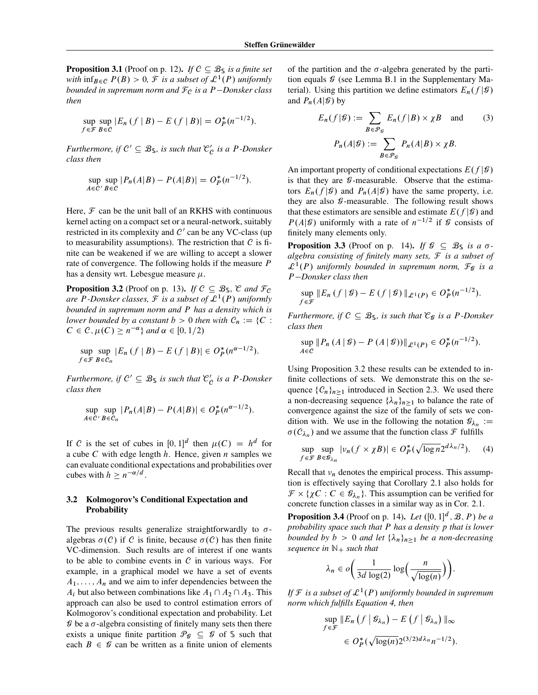$\mathcal{f}$ 

**Proposition 3.1** (Proof on p. 12). *If*  $C \subseteq B_{\mathbb{S}}$  *is a finite set with*  $\inf_{B \in \mathcal{C}} P(B) > 0$ , *F is a subset of*  $\mathcal{L}^1(P)$  *uniformly bounded in supremum norm and*  $F<sub>C</sub>$  *is a*  $P$ -Donsker class *then*

$$
\sup_{f \in \mathcal{F}} \sup_{B \in \mathcal{C}} |E_n(f \mid B) - E(f \mid B)| = O_P^*(n^{-1/2}).
$$

*Furthermore, if*  $C' \subseteq B_{\mathbb{S}}$ *, is such that*  $\mathcal{C}'$  *is a* P*-Donsker class then*

$$
\sup_{A \in \mathcal{C}'} \sup_{B \in \mathcal{C}} |P_n(A|B) - P(A|B)| = O_P^*(n^{-1/2}).
$$

Here,  $\mathcal F$  can be the unit ball of an RKHS with continuous kernel acting on a compact set or a neural-network, suitably restricted in its complexity and  $C'$  can be any VC-class (up to measurability assumptions). The restriction that  $\mathcal C$  is finite can be weakened if we are willing to accept a slower rate of convergence. The following holds if the measure P has a density wrt. Lebesgue measure  $\mu$ .

<span id="page-6-1"></span>**Proposition 3.2** (Proof on p. 13). *If*  $C \subseteq B_{\mathbb{S}}$ ,  $\mathcal{C}$  *and*  $\mathcal{F}_C$ are P-Donsker classes,  $\mathcal F$  is a subset of  $\mathcal L^1(P)$  uniformly *bounded in supremum norm and* P *has a density which is lower bounded by a constant*  $b > 0$  *then with*  $C_n := \{C :$  $C \in \mathcal{C}, \mu(C) \geq n^{-\alpha} \}$  and  $\alpha \in [0, 1/2)$ 

$$
\sup_{f \in \mathcal{F}} \sup_{B \in \mathcal{C}_n} |E_n(f \mid B) - E(f \mid B)| \in O_P^*(n^{\alpha - 1/2}).
$$

*Furthermore, if*  $C' \subseteq B_{\$}$  *is such that*  $C'$  *is a* P*-Donsker class then*

$$
\sup_{A \in \mathcal{C}'} \sup_{B \in \mathcal{C}_n} |P_n(A|B) - P(A|B)| \in O_P^*(n^{\alpha - 1/2}).
$$

If C is the set of cubes in  $[0, 1]^d$  then  $\mu(C) = h^d$  for a cube C with edge length  $h$ . Hence, given  $n$  samples we can evaluate conditional expectations and probabilities over cubes with  $h \geq n^{-\alpha/d}$ .

## <span id="page-6-0"></span>3.2 Kolmogorov's Conditional Expectation and **Probability**

The previous results generalize straightforwardly to  $\sigma$ algebras  $\sigma(C)$  if C is finite, because  $\sigma(C)$  has then finite VC-dimension. Such results are of interest if one wants to be able to combine events in  $C$  in various ways. For example, in a graphical model we have a set of events  $A_1, \ldots, A_n$  and we aim to infer dependencies between the  $A_i$  but also between combinations like  $A_1 \cap A_2 \cap A_3$ . This approach can also be used to control estimation errors of Kolmogorov's conditional expectation and probability. Let  $\mathcal G$  be a  $\sigma$ -algebra consisting of finitely many sets then there exists a unique finite partition  $\mathcal{P}_{\mathcal{G}} \subseteq \mathcal{G}$  of S such that each  $B \in \mathcal{G}$  can be written as a finite union of elements of the partition and the  $\sigma$ -algebra generated by the partition equals  $\mathcal G$  (see Lemma B.1 in the Supplementary Material). Using this partition we define estimators  $E_n(f|\mathcal{G})$ and  $P_n(A|\mathcal{G})$  by

$$
E_n(f|\mathcal{G}) := \sum_{B \in \mathcal{P}_{\mathcal{G}}} E_n(f|B) \times \chi B \quad \text{and} \quad (3)
$$

$$
P_n(A|\mathcal{G}) := \sum_{B \in \mathcal{P}_{\mathcal{G}}} P_n(A|B) \times \chi B.
$$

An important property of conditional expectations  $E(f|\mathcal{G})$ is that they are  $\mathcal G$ -measurable. Observe that the estimators  $E_n(f|\mathcal{G})$  and  $P_n(A|\mathcal{G})$  have the same property, i.e. they are also  $\mathcal G$ -measurable. The following result shows that these estimators are sensible and estimate  $E(f|\mathcal{G})$  and  $P(A|\mathcal{G})$  uniformly with a rate of  $n^{-1/2}$  if  $\mathcal G$  consists of finitely many elements only.

**Proposition 3.3** (Proof on p. 14). *If*  $\mathcal{G} \subseteq \mathcal{B}_{\mathsf{S}}$  *is a*  $\sigma$ *algebra consisting of finitely many sets,* F *is a subset of*  $\mathcal{L}^1(P)$  uniformly bounded in supremum norm,  $\mathcal{F}_{\mathcal{G}}$  is a P *Donsker class then*

$$
\sup_{f \in \mathcal{F}} \| E_n(f | \mathcal{G}) - E(f | \mathcal{G}) \|_{\mathcal{L}^1(P)} \in O_P^*(n^{-1/2}).
$$

*Furthermore, if*  $C \subseteq \mathcal{B}_{\mathsf{S}}$ *, is such that*  $\mathcal{C}_{\mathsf{G}}$  *is a P-Donsker class then*

$$
\sup_{A\in\mathcal{C}}||P_n(A|\mathcal{G}) - P(A|\mathcal{G}))||_{\mathcal{L}^1(P)} \in O_P^*(n^{-1/2}).
$$

Using Proposition [3.2](#page-6-1) these results can be extended to infinite collections of sets. We demonstrate this on the sequence  $\{C_n\}_{n\geq1}$  introduced in Section [2.3.](#page-4-0) We used there a non-decreasing sequence  $\{\lambda_n\}_{n\geq1}$  to balance the rate of convergence against the size of the family of sets we condition with. We use in the following the notation  $\mathcal{G}_{\lambda_n}$ :  $\sigma(C_{\lambda_n})$  and we assume that the function class  $\mathcal F$  fulfills

<span id="page-6-2"></span>
$$
\sup_{f \in \mathcal{F}} \sup_{B \in \mathcal{B}_{\lambda_n}} |\nu_n(f \times \chi B)| \in O_P^*(\sqrt{\log n} 2^{d\lambda_n/2}).\tag{4}
$$

Recall that  $v_n$  denotes the empirical process. This assumption is effectively saying that Corollary [2.1](#page-5-1) also holds for  $\mathcal{F} \times \{ \chi C : C \in \mathcal{G}_{\lambda_n} \}.$  This assumption can be verified for concrete function classes in a similar way as in Cor. [2.1.](#page-5-1)

<span id="page-6-3"></span>**Proposition 3.4** (Proof on p. 14). *Let*  $([0, 1]^d, \mathcal{B}, P)$  *be a probability space such that* P *has a density* p *that is lower bounded by*  $b > 0$  *and let*  $\{\lambda_n\}_{n \geq 1}$  *be a non-decreasing sequence in*  $\mathbb{N}_+$  *such that* 

$$
\lambda_n \in o\bigg(\frac{1}{3d \log(2)} \log\bigg(\frac{n}{\sqrt{\log(n)}}\bigg)\bigg).
$$

If  $\mathcal F$  is a subset of  $\mathcal L^1(P)$  uniformly bounded in supremum *norm which fulfills Equation [4,](#page-6-2) then*

$$
\sup_{f \in \mathcal{F}} \|E_n \left( f \, \middle| \, \mathcal{G}_{\lambda_n} \right) - E \left( f \, \middle| \, \mathcal{G}_{\lambda_n} \right) \|_{\infty}
$$
\n
$$
\in O_P^* (\sqrt{\log(n)} 2^{(3/2) d \lambda_n} n^{-1/2}).
$$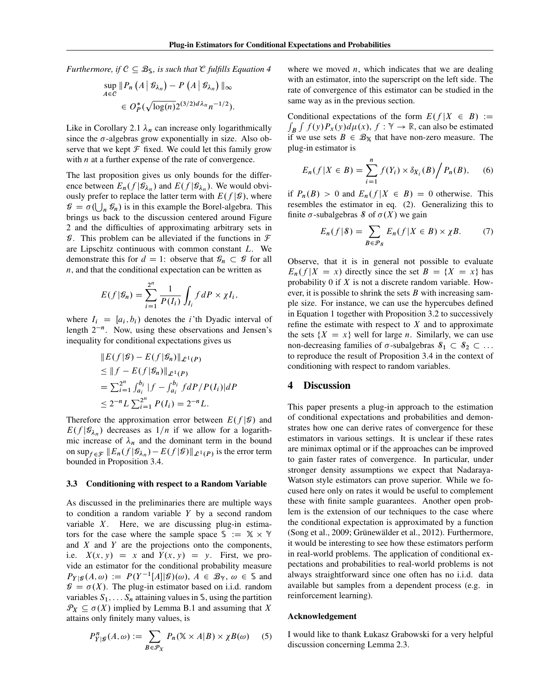*Furthermore, if*  $C \subseteq B_{\mathcal{S}}$ *, is such that*  $\mathcal{C}$  *fulfills Equation [4](#page-6-2)* 

$$
\sup_{A \in \mathcal{C}} \| P_n \left( A \, \middle| \, \mathcal{G}_{\lambda_n} \right) - P \left( A \, \middle| \, \mathcal{G}_{\lambda_n} \right) \|_{\infty} \\ \in O_P^* (\sqrt{\log(n)} 2^{(3/2) d \lambda_n} n^{-1/2}).
$$

Like in Corollary [2.1](#page-5-1)  $\lambda_n$  can increase only logarithmically since the  $\sigma$ -algebras grow exponentially in size. Also observe that we kept  $\mathcal F$  fixed. We could let this family grow with  $n$  at a further expense of the rate of convergence.

The last proposition gives us only bounds for the difference between  $E_n(f|\mathcal{B}_{\lambda_n})$  and  $E(f|\mathcal{B}_{\lambda_n})$ . We would obviously prefer to replace the latter term with  $E(f|\mathcal{G})$ , where  $\mathcal{G} = \sigma(\bigcup_n \mathcal{G}_n)$  is in this example the Borel-algebra. This brings us back to the discussion centered around Figure [2](#page-5-0) and the difficulties of approximating arbitrary sets in  $\mathcal G$ . This problem can be alleviated if the functions in  $\mathcal F$ are Lipschitz continuous with common constant L. We demonstrate this for  $d = 1$ : observe that  $\mathcal{G}_n \subset \mathcal{G}$  for all  $n$ , and that the conditional expectation can be written as

$$
E(f|\mathcal{G}_n) = \sum_{i=1}^{2^n} \frac{1}{P(I_i)} \int_{I_i} f dP \times \chi I_i,
$$

where  $I_i = [a_i, b_i)$  denotes the *i*'th Dyadic interval of length  $2^{-n}$ . Now, using these observations and Jensen's inequality for conditional expectations gives us

$$
||E(f|\mathcal{G}) - E(f|\mathcal{G}_n)||_{\mathcal{L}^1(P)}
$$
  
\n
$$
\leq ||f - E(f|\mathcal{G}_n)||_{\mathcal{L}^1(P)}
$$
  
\n
$$
= \sum_{i=1}^{2^n} \int_{a_i}^{b_i} |f - \int_{a_i}^{b_i} f dP/P(I_i)| dP
$$
  
\n
$$
\leq 2^{-n} L \sum_{i=1}^{2^n} P(I_i) = 2^{-n} L.
$$

Therefore the approximation error between  $E(f|\mathcal{G})$  and  $E(f|\mathcal{G}_{\lambda_n})$  decreases as  $1/n$  if we allow for a logarithmic increase of  $\lambda_n$  and the dominant term in the bound on sup $_{f \in \mathcal{F}} ||E_n(f|\mathcal{G}_{\lambda_n}) - E(f|\mathcal{G})||_{\mathcal{L}^1(P)}$  is the error term bounded in Proposition [3.4.](#page-6-3)

#### 3.3 Conditioning with respect to a Random Variable

As discussed in the preliminaries there are multiple ways to condition a random variable Y by a second random variable  $X$ . Here, we are discussing plug-in estimators for the case where the sample space  $\Im \mathcal{L} = \mathbb{X} \times \mathbb{Y}$ and  $X$  and  $Y$  are the projections onto the components, i.e.  $X(x, y) = x$  and  $Y(x, y) = y$ . First, we provide an estimator for the conditional probability measure  $P_{Y|\mathcal{G}}(A,\omega) := P(Y^{-1}[A]|\mathcal{G})(\omega), A \in \mathcal{B}_{Y}, \omega \in \mathcal{S}$  and  $\mathcal{G} = \sigma(X)$ . The plug-in estimator based on i.i.d. random variables  $S_1, \ldots, S_n$  attaining values in  $\mathcal S$ , using the partition  $\mathcal{P}_X \subseteq \sigma(X)$  implied by Lemma B.1 and assuming that X attains only finitely many values, is

$$
P_{Y|\mathcal{G}}^n(A,\omega) := \sum_{B \in \mathcal{P}_X} P_n(\mathbb{X} \times A|B) \times \chi B(\omega) \tag{5}
$$

where we moved  $n$ , which indicates that we are dealing with an estimator, into the superscript on the left side. The rate of convergence of this estimator can be studied in the same way as in the previous section.

Conditional expectations of the form  $E(f|X \in B) :=$  $\int_B \int f(y) P_x(y) d\mu(x)$ ,  $f : \mathbb{Y} \to \mathbb{R}$ , can also be estimated if we use sets  $B \in \mathcal{B}_{\mathbb{X}}$  that have non-zero measure. The plug-in estimator is

$$
E_n(f|X \in B) = \sum_{i=1}^n f(Y_i) \times \delta_{X_i}(B) / P_n(B), \quad (6)
$$

if  $P_n(B) > 0$  and  $E_n(f|X \in B) = 0$  otherwise. This resembles the estimator in eq. [\(2\)](#page-5-2). Generalizing this to finite  $\sigma$ -subalgebras S of  $\sigma(X)$  we gain

$$
E_n(f|\mathcal{S}) = \sum_{B \in \mathcal{P}_{\mathcal{S}}} E_n(f|X \in B) \times \chi B. \tag{7}
$$

Observe, that it is in general not possible to evaluate  $E_n(f|X = x)$  directly since the set  $B = \{X = x\}$  has probability 0 if X is not a discrete random variable. However, it is possible to shrink the sets  $B$  with increasing sample size. For instance, we can use the hypercubes defined in Equation [1](#page-3-0) together with Proposition [3.2](#page-6-1) to successively refine the estimate with respect to  $X$  and to approximate the sets  $\{X = x\}$  well for large *n*. Similarly, we can use non-decreasing families of  $\sigma$ -subalgebras  $\delta_1 \subset \delta_2 \subset \ldots$ to reproduce the result of Proposition [3.4](#page-6-3) in the context of conditioning with respect to random variables.

# 4 Discussion

This paper presents a plug-in approach to the estimation of conditional expectations and probabilities and demonstrates how one can derive rates of convergence for these estimators in various settings. It is unclear if these rates are minimax optimal or if the approaches can be improved to gain faster rates of convergence. In particular, under stronger density assumptions we expect that Nadaraya-Watson style estimators can prove superior. While we focused here only on rates it would be useful to complement these with finite sample guarantees. Another open problem is the extension of our techniques to the case where the conditional expectation is approximated by a function [\(Song et al., 2009;](#page-8-11) Grünewälder et al., 2012). Furthermore, it would be interesting to see how these estimators perform in real-world problems. The application of conditional expectations and probabilities to real-world problems is not always straightforward since one often has no i.i.d. data available but samples from a dependent process (e.g. in reinforcement learning).

#### Acknowledgement

I would like to thank Łukasz Grabowski for a very helpful discussion concerning Lemma 2.3.